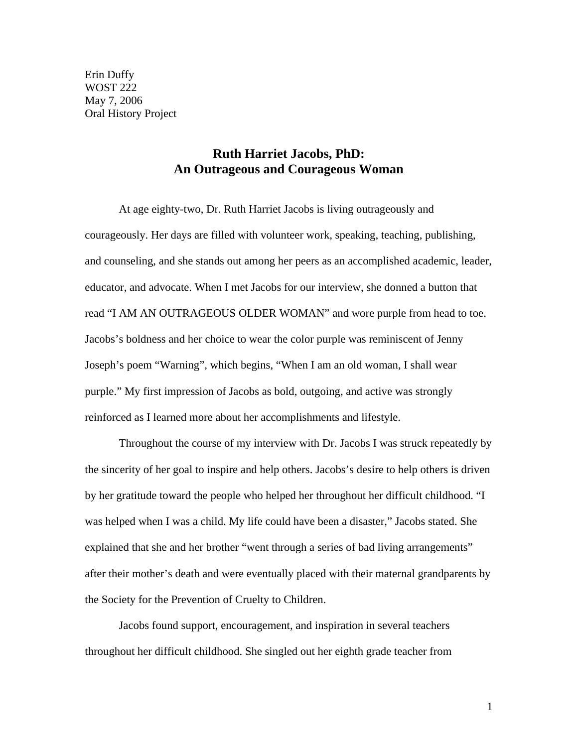Erin Duffy WOST 222 May 7, 2006 Oral History Project

## **Ruth Harriet Jacobs, PhD: An Outrageous and Courageous Woman**

 At age eighty-two, Dr. Ruth Harriet Jacobs is living outrageously and courageously. Her days are filled with volunteer work, speaking, teaching, publishing, and counseling, and she stands out among her peers as an accomplished academic, leader, educator, and advocate. When I met Jacobs for our interview, she donned a button that read "I AM AN OUTRAGEOUS OLDER WOMAN" and wore purple from head to toe. Jacobs's boldness and her choice to wear the color purple was reminiscent of Jenny Joseph's poem "Warning", which begins, "When I am an old woman, I shall wear purple." My first impression of Jacobs as bold, outgoing, and active was strongly reinforced as I learned more about her accomplishments and lifestyle.

Throughout the course of my interview with Dr. Jacobs I was struck repeatedly by the sincerity of her goal to inspire and help others. Jacobs's desire to help others is driven by her gratitude toward the people who helped her throughout her difficult childhood. "I was helped when I was a child. My life could have been a disaster," Jacobs stated. She explained that she and her brother "went through a series of bad living arrangements" after their mother's death and were eventually placed with their maternal grandparents by the Society for the Prevention of Cruelty to Children.

Jacobs found support, encouragement, and inspiration in several teachers throughout her difficult childhood. She singled out her eighth grade teacher from

1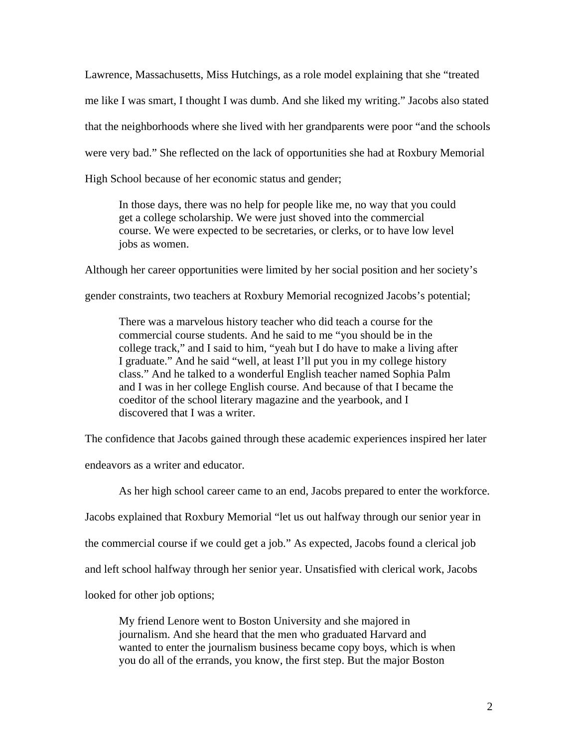Lawrence, Massachusetts, Miss Hutchings, as a role model explaining that she "treated me like I was smart, I thought I was dumb. And she liked my writing." Jacobs also stated that the neighborhoods where she lived with her grandparents were poor "and the schools were very bad." She reflected on the lack of opportunities she had at Roxbury Memorial High School because of her economic status and gender;

In those days, there was no help for people like me, no way that you could get a college scholarship. We were just shoved into the commercial course. We were expected to be secretaries, or clerks, or to have low level jobs as women.

Although her career opportunities were limited by her social position and her society's

gender constraints, two teachers at Roxbury Memorial recognized Jacobs's potential;

There was a marvelous history teacher who did teach a course for the commercial course students. And he said to me "you should be in the college track," and I said to him, "yeah but I do have to make a living after I graduate." And he said "well, at least I'll put you in my college history class." And he talked to a wonderful English teacher named Sophia Palm and I was in her college English course. And because of that I became the coeditor of the school literary magazine and the yearbook, and I discovered that I was a writer.

The confidence that Jacobs gained through these academic experiences inspired her later

endeavors as a writer and educator.

As her high school career came to an end, Jacobs prepared to enter the workforce.

Jacobs explained that Roxbury Memorial "let us out halfway through our senior year in

the commercial course if we could get a job." As expected, Jacobs found a clerical job

and left school halfway through her senior year. Unsatisfied with clerical work, Jacobs

looked for other job options;

My friend Lenore went to Boston University and she majored in journalism. And she heard that the men who graduated Harvard and wanted to enter the journalism business became copy boys, which is when you do all of the errands, you know, the first step. But the major Boston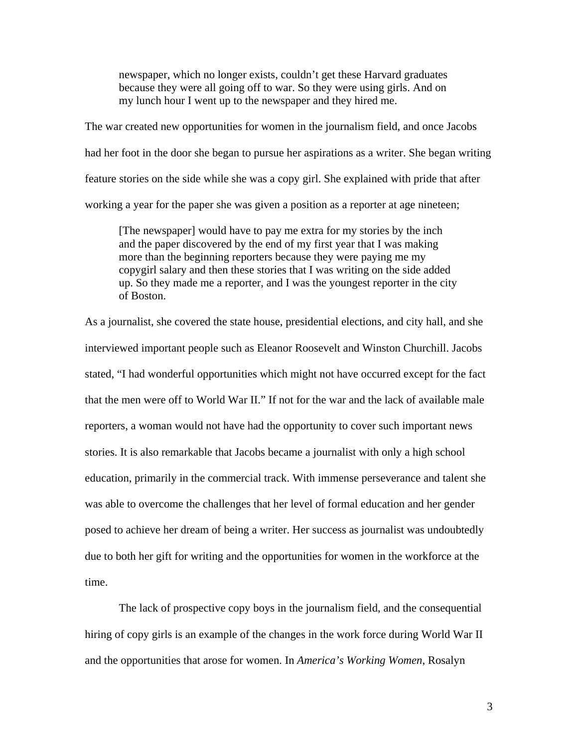newspaper, which no longer exists, couldn't get these Harvard graduates because they were all going off to war. So they were using girls. And on my lunch hour I went up to the newspaper and they hired me.

The war created new opportunities for women in the journalism field, and once Jacobs had her foot in the door she began to pursue her aspirations as a writer. She began writing feature stories on the side while she was a copy girl. She explained with pride that after working a year for the paper she was given a position as a reporter at age nineteen;

[The newspaper] would have to pay me extra for my stories by the inch and the paper discovered by the end of my first year that I was making more than the beginning reporters because they were paying me my copygirl salary and then these stories that I was writing on the side added up. So they made me a reporter, and I was the youngest reporter in the city of Boston.

As a journalist, she covered the state house, presidential elections, and city hall, and she interviewed important people such as Eleanor Roosevelt and Winston Churchill. Jacobs stated, "I had wonderful opportunities which might not have occurred except for the fact that the men were off to World War II." If not for the war and the lack of available male reporters, a woman would not have had the opportunity to cover such important news stories. It is also remarkable that Jacobs became a journalist with only a high school education, primarily in the commercial track. With immense perseverance and talent she was able to overcome the challenges that her level of formal education and her gender posed to achieve her dream of being a writer. Her success as journalist was undoubtedly due to both her gift for writing and the opportunities for women in the workforce at the time.

 The lack of prospective copy boys in the journalism field, and the consequential hiring of copy girls is an example of the changes in the work force during World War II and the opportunities that arose for women. In *America's Working Women*, Rosalyn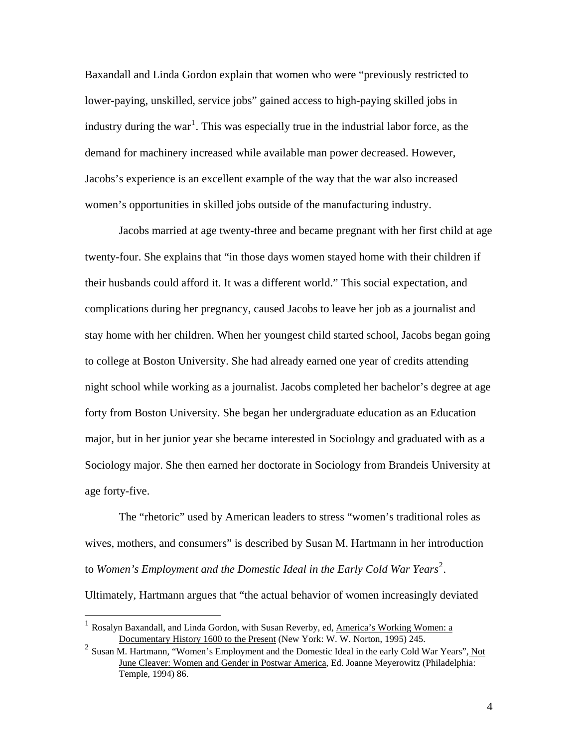Baxandall and Linda Gordon explain that women who were "previously restricted to lower-paying, unskilled, service jobs" gained access to high-paying skilled jobs in industry during the war<sup>[1](#page-3-0)</sup>. This was especially true in the industrial labor force, as the demand for machinery increased while available man power decreased. However, Jacobs's experience is an excellent example of the way that the war also increased women's opportunities in skilled jobs outside of the manufacturing industry.

 Jacobs married at age twenty-three and became pregnant with her first child at age twenty-four. She explains that "in those days women stayed home with their children if their husbands could afford it. It was a different world." This social expectation, and complications during her pregnancy, caused Jacobs to leave her job as a journalist and stay home with her children. When her youngest child started school, Jacobs began going to college at Boston University. She had already earned one year of credits attending night school while working as a journalist. Jacobs completed her bachelor's degree at age forty from Boston University. She began her undergraduate education as an Education major, but in her junior year she became interested in Sociology and graduated with as a Sociology major. She then earned her doctorate in Sociology from Brandeis University at age forty-five.

The "rhetoric" used by American leaders to stress "women's traditional roles as wives, mothers, and consumers" is described by Susan M. Hartmann in her introduction to Women's Employment and the Domestic Ideal in the Early Cold War Years<sup>[2](#page-3-1)</sup>.

Ultimately, Hartmann argues that "the actual behavior of women increasingly deviated

 $\overline{a}$ 

<span id="page-3-0"></span><sup>&</sup>lt;sup>1</sup> Rosalyn Baxandall, and Linda Gordon, with Susan Reverby, ed, America's Working Women: a Documentary History 1600 to the Present (New York: W. W. Norton, 1995) 245.

<span id="page-3-1"></span><sup>&</sup>lt;sup>2</sup> Susan M. Hartmann, "Women's Employment and the Domestic Ideal in the early Cold War Years", Not June Cleaver: Women and Gender in Postwar America, Ed. Joanne Meyerowitz (Philadelphia: Temple, 1994) 86.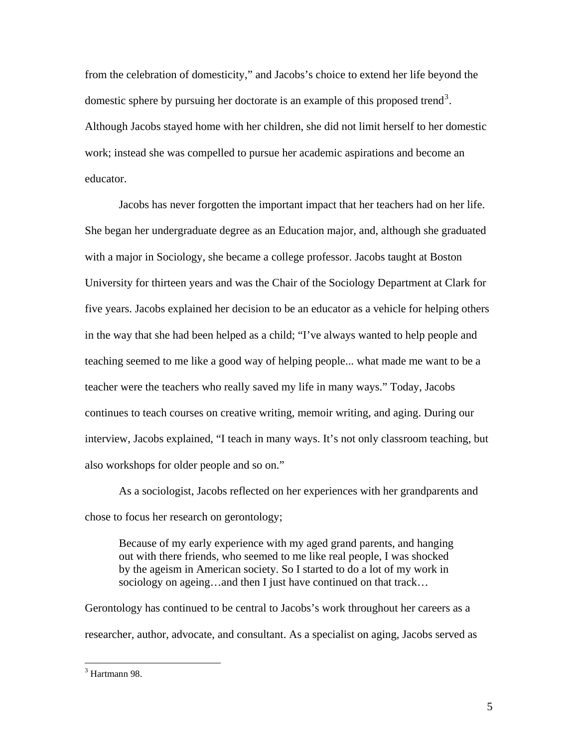from the celebration of domesticity," and Jacobs's choice to extend her life beyond the domestic sphere by pursuing her doctorate is an example of this proposed trend<sup>[3](#page-4-0)</sup>. Although Jacobs stayed home with her children, she did not limit herself to her domestic work; instead she was compelled to pursue her academic aspirations and become an educator.

Jacobs has never forgotten the important impact that her teachers had on her life. She began her undergraduate degree as an Education major, and, although she graduated with a major in Sociology, she became a college professor. Jacobs taught at Boston University for thirteen years and was the Chair of the Sociology Department at Clark for five years. Jacobs explained her decision to be an educator as a vehicle for helping others in the way that she had been helped as a child; "I've always wanted to help people and teaching seemed to me like a good way of helping people... what made me want to be a teacher were the teachers who really saved my life in many ways." Today, Jacobs continues to teach courses on creative writing, memoir writing, and aging. During our interview, Jacobs explained, "I teach in many ways. It's not only classroom teaching, but also workshops for older people and so on."

As a sociologist, Jacobs reflected on her experiences with her grandparents and chose to focus her research on gerontology;

Because of my early experience with my aged grand parents, and hanging out with there friends, who seemed to me like real people, I was shocked by the ageism in American society. So I started to do a lot of my work in sociology on ageing…and then I just have continued on that track…

Gerontology has continued to be central to Jacobs's work throughout her careers as a researcher, author, advocate, and consultant. As a specialist on aging, Jacobs served as

 $\overline{a}$ 

<span id="page-4-0"></span><sup>&</sup>lt;sup>3</sup> Hartmann 98.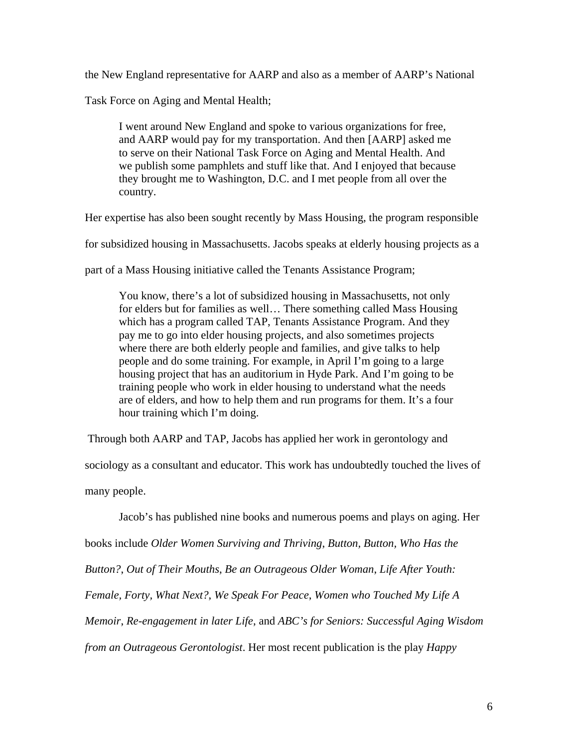the New England representative for AARP and also as a member of AARP's National

Task Force on Aging and Mental Health;

I went around New England and spoke to various organizations for free, and AARP would pay for my transportation. And then [AARP] asked me to serve on their National Task Force on Aging and Mental Health. And we publish some pamphlets and stuff like that. And I enjoyed that because they brought me to Washington, D.C. and I met people from all over the country.

Her expertise has also been sought recently by Mass Housing, the program responsible

for subsidized housing in Massachusetts. Jacobs speaks at elderly housing projects as a

part of a Mass Housing initiative called the Tenants Assistance Program;

You know, there's a lot of subsidized housing in Massachusetts, not only for elders but for families as well… There something called Mass Housing which has a program called TAP, Tenants Assistance Program. And they pay me to go into elder housing projects, and also sometimes projects where there are both elderly people and families, and give talks to help people and do some training. For example, in April I'm going to a large housing project that has an auditorium in Hyde Park. And I'm going to be training people who work in elder housing to understand what the needs are of elders, and how to help them and run programs for them. It's a four hour training which I'm doing.

Through both AARP and TAP, Jacobs has applied her work in gerontology and

sociology as a consultant and educator. This work has undoubtedly touched the lives of many people.

Jacob's has published nine books and numerous poems and plays on aging. Her books include *Older Women Surviving and Thriving*, *Button, Button, Who Has the Button?*, *Out of Their Mouths*, *Be an Outrageous Older Woman*, *Life After Youth: Female, Forty, What Next?*, *We Speak For Peace*, *Women who Touched My Life A Memoir*, *Re-engagement in later Life*, and *ABC's for Seniors: Successful Aging Wisdom from an Outrageous Gerontologist*. Her most recent publication is the play *Happy*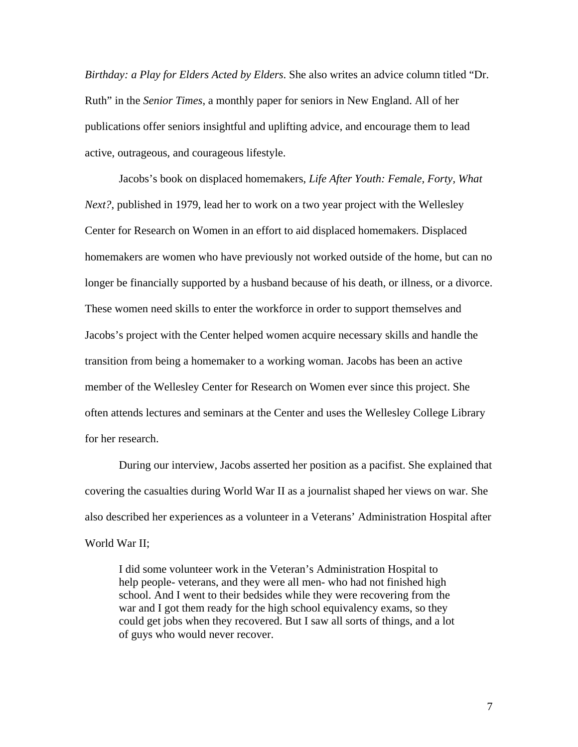*Birthday: a Play for Elders Acted by Elders*. She also writes an advice column titled "Dr. Ruth" in the *Senior Times*, a monthly paper for seniors in New England. All of her publications offer seniors insightful and uplifting advice, and encourage them to lead active, outrageous, and courageous lifestyle.

 Jacobs's book on displaced homemakers, *Life After Youth: Female, Forty, What Next?*, published in 1979, lead her to work on a two year project with the Wellesley Center for Research on Women in an effort to aid displaced homemakers. Displaced homemakers are women who have previously not worked outside of the home, but can no longer be financially supported by a husband because of his death, or illness, or a divorce. These women need skills to enter the workforce in order to support themselves and Jacobs's project with the Center helped women acquire necessary skills and handle the transition from being a homemaker to a working woman. Jacobs has been an active member of the Wellesley Center for Research on Women ever since this project. She often attends lectures and seminars at the Center and uses the Wellesley College Library for her research.

 During our interview, Jacobs asserted her position as a pacifist. She explained that covering the casualties during World War II as a journalist shaped her views on war. She also described her experiences as a volunteer in a Veterans' Administration Hospital after World War II;

I did some volunteer work in the Veteran's Administration Hospital to help people- veterans, and they were all men- who had not finished high school. And I went to their bedsides while they were recovering from the war and I got them ready for the high school equivalency exams, so they could get jobs when they recovered. But I saw all sorts of things, and a lot of guys who would never recover.

7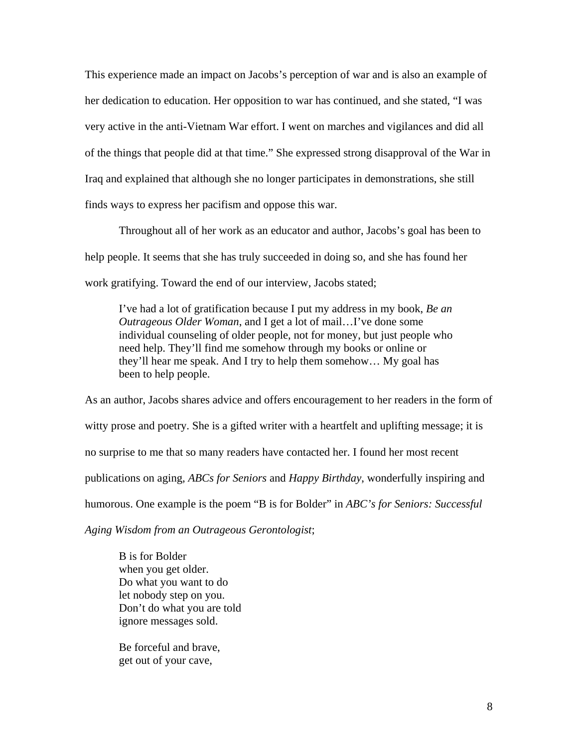This experience made an impact on Jacobs's perception of war and is also an example of her dedication to education. Her opposition to war has continued, and she stated, "I was very active in the anti-Vietnam War effort. I went on marches and vigilances and did all of the things that people did at that time." She expressed strong disapproval of the War in Iraq and explained that although she no longer participates in demonstrations, she still finds ways to express her pacifism and oppose this war.

 Throughout all of her work as an educator and author, Jacobs's goal has been to help people. It seems that she has truly succeeded in doing so, and she has found her work gratifying. Toward the end of our interview, Jacobs stated;

I've had a lot of gratification because I put my address in my book, *Be an Outrageous Older Woman*, and I get a lot of mail…I've done some individual counseling of older people, not for money, but just people who need help. They'll find me somehow through my books or online or they'll hear me speak. And I try to help them somehow… My goal has been to help people.

As an author, Jacobs shares advice and offers encouragement to her readers in the form of witty prose and poetry. She is a gifted writer with a heartfelt and uplifting message; it is no surprise to me that so many readers have contacted her. I found her most recent publications on aging, *ABCs for Seniors* and *Happy Birthday*, wonderfully inspiring and humorous. One example is the poem "B is for Bolder" in *ABC's for Seniors: Successful* 

*Aging Wisdom from an Outrageous Gerontologist*;

B is for Bolder when you get older. Do what you want to do let nobody step on you. Don't do what you are told ignore messages sold.

Be forceful and brave, get out of your cave,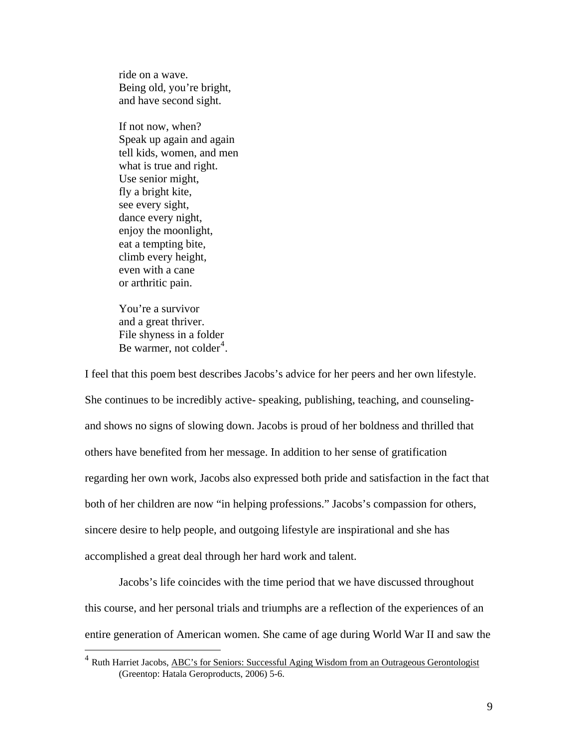ride on a wave. Being old, you're bright, and have second sight.

If not now, when? Speak up again and again tell kids, women, and men what is true and right. Use senior might, fly a bright kite, see every sight, dance every night, enjoy the moonlight, eat a tempting bite, climb every height, even with a cane or arthritic pain.

You're a survivor and a great thriver. File shyness in a folder Be warmer, not colder<sup>[4](#page-8-0)</sup>.

 $\overline{a}$ 

I feel that this poem best describes Jacobs's advice for her peers and her own lifestyle. She continues to be incredibly active- speaking, publishing, teaching, and counselingand shows no signs of slowing down. Jacobs is proud of her boldness and thrilled that others have benefited from her message. In addition to her sense of gratification regarding her own work, Jacobs also expressed both pride and satisfaction in the fact that both of her children are now "in helping professions." Jacobs's compassion for others, sincere desire to help people, and outgoing lifestyle are inspirational and she has accomplished a great deal through her hard work and talent.

 Jacobs's life coincides with the time period that we have discussed throughout this course, and her personal trials and triumphs are a reflection of the experiences of an entire generation of American women. She came of age during World War II and saw the

<span id="page-8-0"></span><sup>&</sup>lt;sup>4</sup> Ruth Harriet Jacobs, ABC's for Seniors: Successful Aging Wisdom from an Outrageous Gerontologist (Greentop: Hatala Geroproducts, 2006) 5-6.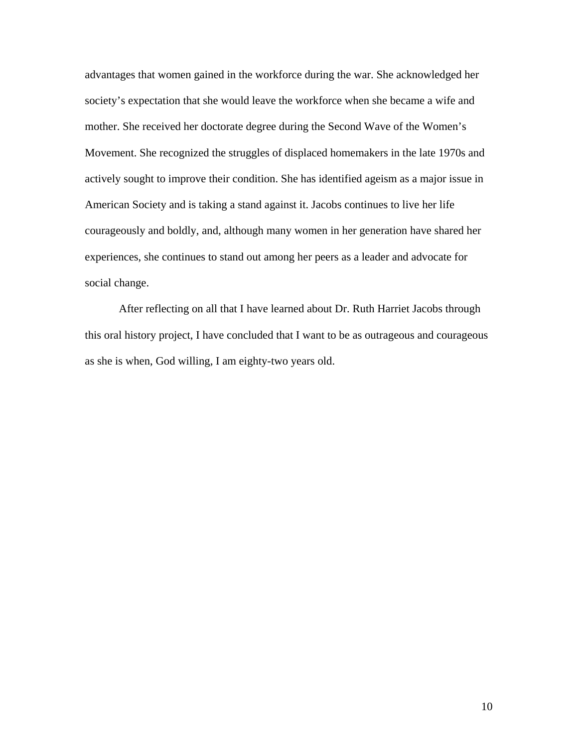advantages that women gained in the workforce during the war. She acknowledged her society's expectation that she would leave the workforce when she became a wife and mother. She received her doctorate degree during the Second Wave of the Women's Movement. She recognized the struggles of displaced homemakers in the late 1970s and actively sought to improve their condition. She has identified ageism as a major issue in American Society and is taking a stand against it. Jacobs continues to live her life courageously and boldly, and, although many women in her generation have shared her experiences, she continues to stand out among her peers as a leader and advocate for social change.

 After reflecting on all that I have learned about Dr. Ruth Harriet Jacobs through this oral history project, I have concluded that I want to be as outrageous and courageous as she is when, God willing, I am eighty-two years old.